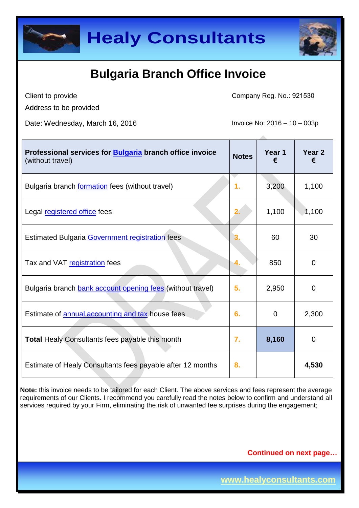



Client to provide Address to be provided Company Reg. No.: 921530

Date: Wednesday, March 16, 2016 **Invoice No: 2016** - 10 – 003p

| Professional services for <b>Bulgaria</b> branch office invoice<br>(without travel) | <b>Notes</b> | Year 1<br>€ | Year 2<br>€ |
|-------------------------------------------------------------------------------------|--------------|-------------|-------------|
| Bulgaria branch <b>formation</b> fees (without travel)                              | 1.           | 3,200       | 1,100       |
| Legal registered office fees                                                        | 2.           | 1,100       | 1,100       |
| <b>Estimated Bulgaria Government registration fees</b>                              |              | 60          | 30          |
| Tax and VAT registration fees                                                       | 4.           | 850         | 0           |
| Bulgaria branch bank account opening fees (without travel)                          | 5.           | 2,950       | 0           |
| Estimate of annual accounting and tax house fees                                    | 6.           | 0           | 2,300       |
| <b>Total Healy Consultants fees payable this month</b>                              | 7.           | 8,160       | 0           |
| Estimate of Healy Consultants fees payable after 12 months                          | 8.           |             | 4,530       |

**Note:** this invoice needs to be tailored for each Client. The above services and fees represent the average requirements of our Clients. I recommend you carefully read the notes below to confirm and understand all services required by your Firm, eliminating the risk of unwanted fee surprises during the engagement;

#### **Continued on next page…**

**www.healyconsultants.com**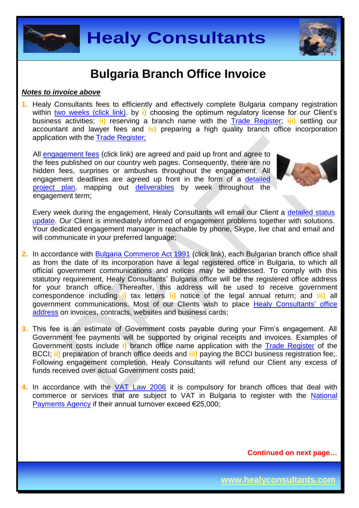



#### *Notes to invoice above*

**1.** Healy Consultants fees to efficiently and effectively complete Bulgaria company registration within [two weeks \(click link\).](http://www.healyconsultants.com/bulgaria-company-registration/fees-timelines/#timelines) by **i**) choosing the optimum regulatory license for our Client's business activities; **ii)** reserving a branch name with the [Trade Register;](http://www.brra.bg/Default.ra) **iii)** settling our accountant and lawyer fees and **iv)** preparing a high quality branch office incorporation application with the [Trade Register;](http://www.brra.bg/Default.ra)

All [engagement fees](http://www.healyconsultants.com/company-registration-fees/) (click link) are agreed and paid up front and agree to the fees published on our country web pages. Consequently, there are no hidden fees, surprises or ambushes throughout the engagement. All engagement deadlines are agreed up front in the form of a [detailed](http://www.healyconsultants.com/index-important-links/example-project-plan/)  [project plan,](http://www.healyconsultants.com/index-important-links/example-project-plan/) mapping out [deliverables](http://www.healyconsultants.com/deliverables-to-our-clients/) by week throughout the engagement term;



Every week during the engagement, Healy Consultants will email our Client a [detailed status](http://www.healyconsultants.com/index-important-links/weekly-engagement-status-email/)  [update.](http://www.healyconsultants.com/index-important-links/weekly-engagement-status-email/) Our Client is immediately informed of engagement problems together with solutions. Your dedicated engagement manager is reachable by phone, Skype, live chat and email and will communicate in your preferred language;

- **2.** In accordance with [Bulgaria Commerce Act 1991](http://www.lexadin.nl/wlg/legis/nofr/eur/lxwebul.htm) (click link), each Bulgarian branch office shall as from the date of its incorporation have a legal registered office in Bulgaria, to which all official government communications and notices may be addressed. To comply with this statutory requirement, Healy Consultants' Bulgaria office will be the registered office address for your branch office. Thereafter, this address will be used to receive government correspondence including **i)** tax letters **ii)** notice of the legal annual return; and **iii)** all government communications. Most of our Clients wish to place [Healy Consultants'](http://www.healyconsultants.com/corporate-outsourcing-services/company-secretary-and-legal-registered-office/) office [address](http://www.healyconsultants.com/corporate-outsourcing-services/company-secretary-and-legal-registered-office/) on invoices, contracts, websites and business cards;
- **3.** This fee is an estimate of Government costs payable during your Firm's engagement. All Government fee payments will be supported by original receipts and invoices. Examples of Government costs include **i)** branch office name application with the [Trade Register](http://www.bcci.bg/trade-register-en.html) of the BCCI; **ii)** preparation of branch office deeds and **iii)** paying the BCCI business registration fee;. Following engagement completion, Healy Consultants will refund our Client any excess of funds received over actual Government costs paid;
- **4.** In accordance with the [VAT Law 2006](http://unpan1.un.org/intradoc/groups/public/documents/UNTC/UNPAN016435.pdf) it is compulsory for branch offices that deal with commerce or services that are subject to VAT in Bulgaria to register with the [National](http://www.nap.bg/)  [Payments Agency](http://www.nap.bg/) if their annual turnover exceed €25,000;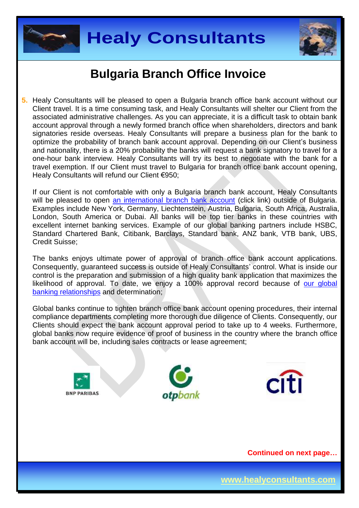



**5.** Healy Consultants will be pleased to open a Bulgaria branch office bank account without our Client travel. It is a time consuming task, and Healy Consultants will shelter our Client from the associated administrative challenges. As you can appreciate, it is a difficult task to obtain bank account approval through a newly formed branch office when shareholders, directors and bank signatories reside overseas. Healy Consultants will prepare a business plan for the bank to optimize the probability of branch bank account approval. Depending on our Client's business and nationality, there is a 20% probability the banks will request a bank signatory to travel for a one-hour bank interview. Healy Consultants will try its best to negotiate with the bank for a travel exemption. If our Client must travel to Bulgaria for branch office bank account opening, Healy Consultants will refund our Client €950;

If our Client is not comfortable with only a Bulgaria branch bank account, Healy Consultants will be pleased to open [an international branch](http://www.healyconsultants.com/international-banking/) bank account (click link) outside of Bulgaria. Examples include New York, Germany, Liechtenstein, Austria, Bulgaria, South Africa, Australia, London, South America or Dubai. All banks will be top tier banks in these countries with excellent internet banking services. Example of our global banking partners include HSBC, Standard Chartered Bank, Citibank, Barclays, Standard bank, ANZ bank, VTB bank, UBS, Credit Suisse;

The banks enjoys ultimate power of approval of branch office bank account applications. Consequently, guaranteed success is outside of Healy Consultants' control. What is inside our control is the preparation and submission of a high quality bank application that maximizes the likelihood of approval. To date, we enjoy a 100% approval record because of our global [banking relationships](http://www.healyconsultants.com/international-banking/corporate-accounts/) and determination;

Global banks continue to tighten branch office bank account opening procedures, their internal compliance departments completing more thorough due diligence of Clients. Consequently, our Clients should expect the bank account approval period to take up to 4 weeks. Furthermore, global banks now require evidence of proof of business in the country where the branch office bank account will be, including sales contracts or lease agreement;





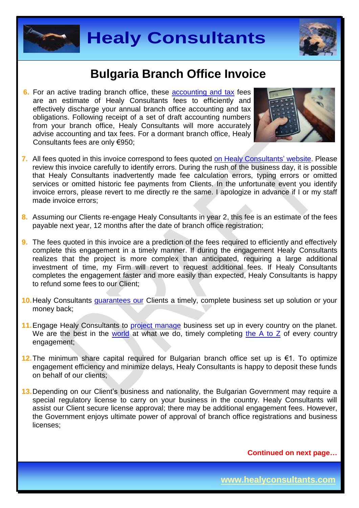



**6.** For an active trading branch office, these [accounting and tax](http://www.healyconsultants.com/bulgaria-company-registration/accounting-legal/) fees are an estimate of Healy Consultants fees to efficiently and effectively discharge your annual branch office accounting and tax obligations. Following receipt of a set of draft accounting numbers from your branch office, Healy Consultants will more accurately advise accounting and tax fees. For a dormant branch office, Healy Consultants fees are only €950;



- **7.** All fees quoted in this invoice correspond to fees quoted [on Healy Consultants'](http://www.healyconsultants.com/company-registration-fees/) website. Please review this invoice carefully to identify errors. During the rush of the business day, it is possible that Healy Consultants inadvertently made fee calculation errors, typing errors or omitted services or omitted historic fee payments from Clients. In the unfortunate event you identify invoice errors, please revert to me directly re the same. I apologize in advance if I or my staff made invoice errors;
- **8.** Assuming our Clients re-engage Healy Consultants in year 2, this fee is an estimate of the fees payable next year, 12 months after the date of branch office registration;
- **9.** The fees quoted in this invoice are a prediction of the fees required to efficiently and effectively complete this engagement in a timely manner. If during the engagement Healy Consultants realizes that the project is more complex than anticipated, requiring a large additional investment of time, my Firm will revert to request additional fees. If Healy Consultants completes the engagement faster and more easily than expected, Healy Consultants is happy to refund some fees to our Client;
- **10.**Healy Consultants [guarantees our](http://www.healyconsultants.com/why-us/) Clients a timely, complete business set up solution or your money back;
- 11. Engage Healy Consultants to [project manage](http://www.healyconsultants.com/project-manage-engagements/) business set up in every country on the planet. We are the best in the [world](http://www.healyconsultants.com/best-in-the-world/) at what we do, timely completing [the A to Z](http://www.healyconsultants.com/a-to-z-of-business-set-up/) of every country engagement;
- **12.**The minimum share capital required for Bulgarian branch office set up is €1. To optimize engagement efficiency and minimize delays, Healy Consultants is happy to deposit these funds on behalf of our clients;
- **13.**Depending on our Client's business and nationality, the Bulgarian Government may require a special regulatory license to carry on your business in the country. Healy Consultants will assist our Client secure license approval; there may be additional engagement fees. However, the Government enjoys ultimate power of approval of branch office registrations and business licenses;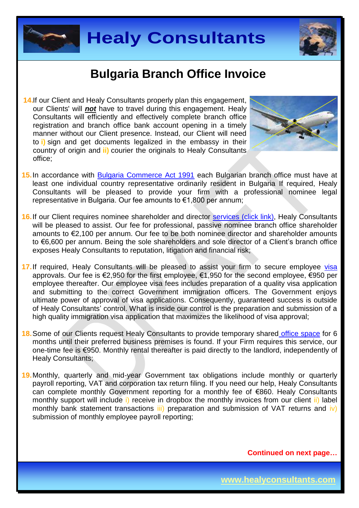



**14.**If our Client and Healy Consultants properly plan this engagement, our Clients' will *not* have to travel during this engagement. Healy Consultants will efficiently and effectively complete branch office registration and branch office bank account opening in a timely manner without our Client presence. Instead, our Client will need to **i)** sign and get documents legalized in the embassy in their country of origin and **ii)** courier the originals to Healy Consultants office;



- **15.**In accordance with [Bulgaria Commerce Act 1991](http://www.lexadin.nl/wlg/legis/nofr/eur/lxwebul.htm) each Bulgarian branch office must have at least one individual country representative ordinarily resident in Bulgaria If required, Healy Consultants will be pleased to provide your firm with a professional nominee legal representative in Bulgaria. Our fee amounts to €1,800 per annum;
- 16. If our Client requires nominee shareholder and director services [\(click link\),](http://www.healyconsultants.com/corporate-outsourcing-services/nominee-shareholders-directors/) Healy Consultants will be pleased to assist. Our fee for professional, passive nominee branch office shareholder amounts to €2,100 per annum. Our fee to be both nominee director and shareholder amounts to €6,600 per annum. Being the sole shareholders and sole director of a Client's branch office exposes Healy Consultants to reputation, litigation and financial risk;
- 17. If required, Healy Consultants will be pleased to assist your firm to secure employee [visa](http://www.healyconsultants.com/bulgaria-company-registration/formation-support-services/) approvals. Our fee is €2,950 for the first employee, €1,950 for the second employee, €950 per employee thereafter. Our employee visa fees includes preparation of a quality visa application and submitting to the correct Government immigration officers. The Government enjoys ultimate power of approval of visa applications. Consequently, guaranteed success is outside of Healy Consultants' control. What is inside our control is the preparation and submission of a high quality immigration visa application that maximizes the likelihood of visa approval;
- **18.**Some of our Clients request Healy Consultants to provide temporary shared [office space](http://www.healyconsultants.com/virtual-office/) for 6 months until their preferred business premises is found. If your Firm requires this service, our one-time fee is €950. Monthly rental thereafter is paid directly to the landlord, independently of Healy Consultants;
- **19.**Monthly, quarterly and mid-year Government tax obligations include monthly or quarterly payroll reporting, VAT and corporation tax return filing. If you need our help, Healy Consultants can complete monthly Government reporting for a monthly fee of €860. Healy Consultants monthly support will include i) receive in dropbox the monthly invoices from our client ii) label monthly bank statement transactions  $\overline{iii}$  preparation and submission of VAT returns and  $\overline{iv}$ ) submission of monthly employee payroll reporting;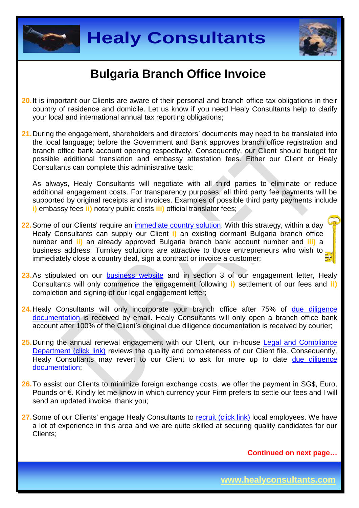



- **20.**It is important our Clients are aware of their personal and branch office tax obligations in their country of residence and domicile. Let us know if you need Healy Consultants help to clarify your local and international annual tax reporting obligations;
- **21.**During the engagement, shareholders and directors' documents may need to be translated into the local language; before the Government and Bank approves branch office registration and branch office bank account opening respectively. Consequently, our Client should budget for possible additional translation and embassy attestation fees. Either our Client or Healy Consultants can complete this administrative task;

As always, Healy Consultants will negotiate with all third parties to eliminate or reduce additional engagement costs. For transparency purposes, all third party fee payments will be supported by original receipts and invoices. Examples of possible third party payments include **i)** embassy fees **ii)** notary public costs **iii)** official translator fees;

- **22.**Some of our Clients' require an [immediate country](http://www.healyconsultants.com/turnkey-solutions/) solution. With this strategy, within a day Healy Consultants can supply our Client **i)** an existing dormant Bulgaria branch office number and **ii)** an already approved Bulgaria branch bank account number and **iii)** a business address. Turnkey solutions are attractive to those entrepreneurs who wish to immediately close a country deal, sign a contract or invoice a customer;
- 23. As stipulated on our [business website](http://www.healyconsultants.com/) and in section 3 of our engagement letter, Healy Consultants will only commence the engagement following **i)** settlement of our fees and **ii)** completion and signing of our legal engagement letter;
- **24.**Healy Consultants will only incorporate your branch office after 75% of [due diligence](http://www.healyconsultants.com/due-diligence/)  [documentation](http://www.healyconsultants.com/due-diligence/) is received by email. Healy Consultants will only open a branch office bank account after 100% of the Client's original due diligence documentation is received by courier;
- **25.**During the annual renewal engagement with our Client, our in-house [Legal and Compliance](http://www.healyconsultants.com/about-us/key-personnel/cai-xin-profile/)  [Department \(click link\)](http://www.healyconsultants.com/about-us/key-personnel/cai-xin-profile/) reviews the quality and completeness of our Client file. Consequently, Healy Consultants may revert to our Client to ask for more up to date due diligence [documentation;](http://www.healyconsultants.com/due-diligence/)
- **26.**To assist our Clients to minimize foreign exchange costs, we offer the payment in SG\$, Euro, Pounds or €. Kindly let me know in which currency your Firm prefers to settle our fees and I will send an updated invoice, thank you;
- 27. Some of our Clients' engage Healy Consultants to [recruit \(click link\)](http://www.healyconsultants.com/corporate-outsourcing-services/how-we-help-our-clients-recruit-quality-employees/) local employees. We have a lot of experience in this area and we are quite skilled at securing quality candidates for our Clients;

**Continued on next page…**

**www.healyconsultants.com**